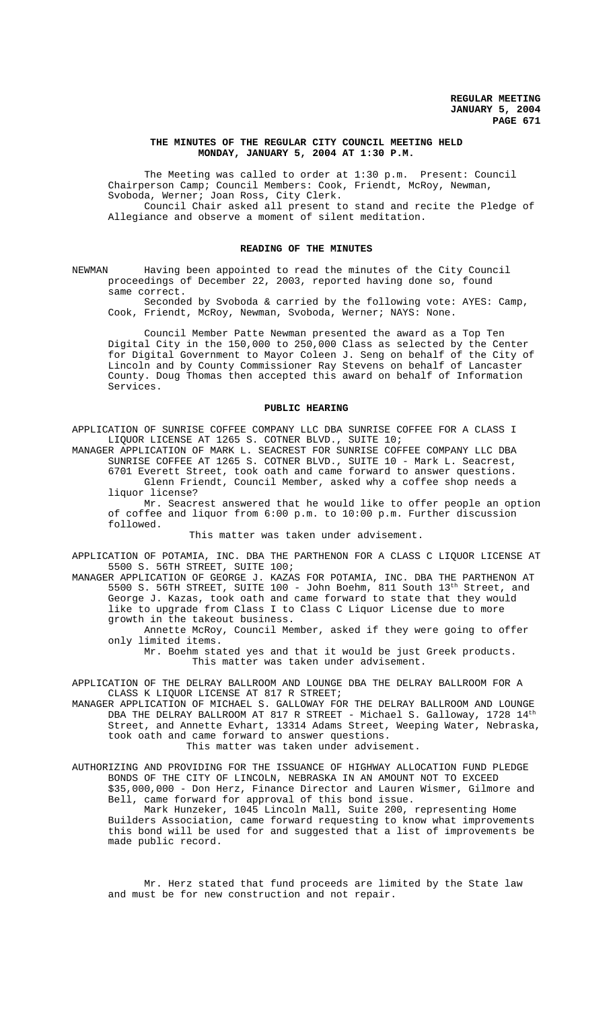# **THE MINUTES OF THE REGULAR CITY COUNCIL MEETING HELD MONDAY, JANUARY 5, 2004 AT 1:30 P.M.**

The Meeting was called to order at 1:30 p.m. Present: Council Chairperson Camp; Council Members: Cook, Friendt, McRoy, Newman, Svoboda, Werner; Joan Ross, City Clerk.

Council Chair asked all present to stand and recite the Pledge of Allegiance and observe a moment of silent meditation.

### **READING OF THE MINUTES**

NEWMAN Having been appointed to read the minutes of the City Council proceedings of December 22, 2003, reported having done so, found same correct.

Seconded by Svoboda & carried by the following vote: AYES: Camp, Cook, Friendt, McRoy, Newman, Svoboda, Werner; NAYS: None.

Council Member Patte Newman presented the award as a Top Ten Digital City in the 150,000 to 250,000 Class as selected by the Center for Digital Government to Mayor Coleen J. Seng on behalf of the City of Lincoln and by County Commissioner Ray Stevens on behalf of Lancaster County. Doug Thomas then accepted this award on behalf of Information Services.

# **PUBLIC HEARING**

APPLICATION OF SUNRISE COFFEE COMPANY LLC DBA SUNRISE COFFEE FOR A CLASS I LIQUOR LICENSE AT 1265 S. COTNER BLVD., SUITE 10;

MANAGER APPLICATION OF MARK L. SEACREST FOR SUNRISE COFFEE COMPANY LLC DBA SUNRISE COFFEE AT 1265 S. COTNER BLVD., SUITE 10 - Mark L. Seacrest, 6701 Everett Street, took oath and came forward to answer questions. Glenn Friendt, Council Member, asked why a coffee shop needs a liquor license?

Mr. Seacrest answered that he would like to offer people an option of coffee and liquor from 6:00 p.m. to 10:00 p.m. Further discussion followed.

This matter was taken under advisement.

APPLICATION OF POTAMIA, INC. DBA THE PARTHENON FOR A CLASS C LIQUOR LICENSE AT 5500 S. 56TH STREET, SUITE 100;

MANAGER APPLICATION OF GEORGE J. KAZAS FOR POTAMIA, INC. DBA THE PARTHENON AT 5500 S. 56TH STREET, SUITE 100 - John Boehm, 811 South 13<sup>th</sup> Street, and George J. Kazas, took oath and came forward to state that they would like to upgrade from Class I to Class C Liquor License due to more growth in the takeout business.

Annette McRoy, Council Member, asked if they were going to offer only limited items.

Mr. Boehm stated yes and that it would be just Greek products. This matter was taken under advisement.

APPLICATION OF THE DELRAY BALLROOM AND LOUNGE DBA THE DELRAY BALLROOM FOR A CLASS K LIQUOR LICENSE AT 817 R STREET;

MANAGER APPLICATION OF MICHAEL S. GALLOWAY FOR THE DELRAY BALLROOM AND LOUNGE DBA THE DELRAY BALLROOM AT 817 R STREET - Michael S. Galloway, 1728  $14^{\rm th}$ Street, and Annette Evhart, 13314 Adams Street, Weeping Water, Nebraska, took oath and came forward to answer questions.

This matter was taken under advisement.

AUTHORIZING AND PROVIDING FOR THE ISSUANCE OF HIGHWAY ALLOCATION FUND PLEDGE BONDS OF THE CITY OF LINCOLN, NEBRASKA IN AN AMOUNT NOT TO EXCEED \$35,000,000 - Don Herz, Finance Director and Lauren Wismer, Gilmore and Bell, came forward for approval of this bond issue.

Mark Hunzeker, 1045 Lincoln Mall, Suite 200, representing Home Builders Association, came forward requesting to know what improvements this bond will be used for and suggested that a list of improvements be made public record.

Mr. Herz stated that fund proceeds are limited by the State law and must be for new construction and not repair.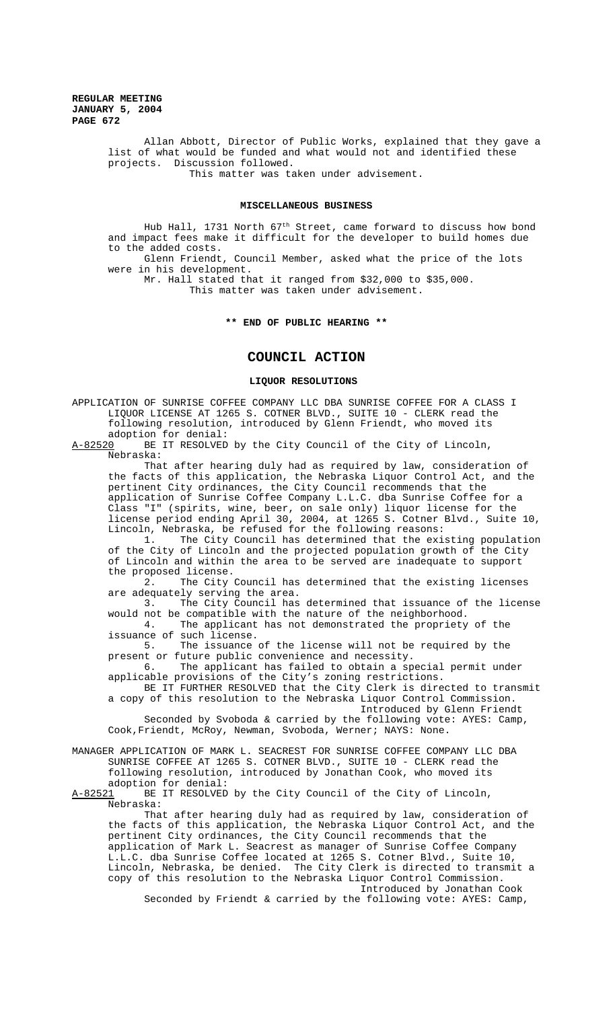**REGULAR MEETING JANUARY 5, 2004 PAGE 672**

> Allan Abbott, Director of Public Works, explained that they gave a list of what would be funded and what would not and identified these projects. Discussion followed. This matter was taken under advisement.

# **MISCELLANEOUS BUSINESS**

Hub Hall, 1731 North 67<sup>th</sup> Street, came forward to discuss how bond and impact fees make it difficult for the developer to build homes due to the added costs. Glenn Friendt, Council Member, asked what the price of the lots were in his development.

Mr. Hall stated that it ranged from \$32,000 to \$35,000. This matter was taken under advisement.

### **\*\* END OF PUBLIC HEARING \*\***

# **COUNCIL ACTION**

# **LIQUOR RESOLUTIONS**

APPLICATION OF SUNRISE COFFEE COMPANY LLC DBA SUNRISE COFFEE FOR A CLASS I LIQUOR LICENSE AT 1265 S. COTNER BLVD., SUITE 10 - CLERK read the following resolution, introduced by Glenn Friendt, who moved its adoption for denial:<br>A-82520 BE IT RESOLVED

BE IT RESOLVED by the City Council of the City of Lincoln, Nebraska:

That after hearing duly had as required by law, consideration of the facts of this application, the Nebraska Liquor Control Act, and the pertinent City ordinances, the City Council recommends that the application of Sunrise Coffee Company L.L.C. dba Sunrise Coffee for a Class "I" (spirits, wine, beer, on sale only) liquor license for the license period ending April 30, 2004, at 1265 S. Cotner Blvd., Suite 10, Lincoln, Nebraska, be refused for the following reasons:

1. The City Council has determined that the existing population of the City of Lincoln and the projected population growth of the City of Lincoln and within the area to be served are inadequate to support the proposed license.

2. The City Council has determined that the existing licenses are adequately serving the area.

3. The City Council has determined that issuance of the license would not be compatible with the nature of the neighborhood. 4. The applicant has not demonstrated the propriety of the

issuance of such license.<br>5. The issuance The issuance of the license will not be required by the

present or future public convenience and necessity. 6. The applicant has failed to obtain a special permit under applicable provisions of the City's zoning restrictions.

BE IT FURTHER RESOLVED that the City Clerk is directed to transmit a copy of this resolution to the Nebraska Liquor Control Commission. Introduced by Glenn Friendt

Seconded by Svoboda & carried by the following vote: AYES: Camp, Cook, Friendt, McRoy, Newman, Svoboda, Werner; NAYS: None.

MANAGER APPLICATION OF MARK L. SEACREST FOR SUNRISE COFFEE COMPANY LLC DBA SUNRISE COFFEE AT 1265 S. COTNER BLVD., SUITE 10 - CLERK read the following resolution, introduced by Jonathan Cook, who moved its

adoption for denial:<br>A-82521 BE IT RESOLVED BE IT RESOLVED by the City Council of the City of Lincoln, Nebraska:

That after hearing duly had as required by law, consideration of the facts of this application, the Nebraska Liquor Control Act, and the pertinent City ordinances, the City Council recommends that the application of Mark L. Seacrest as manager of Sunrise Coffee Company L.L.C. dba Sunrise Coffee located at 1265 S. Cotner Blvd., Suite 10, Lincoln, Nebraska, be denied. The City Clerk is directed to transmit a copy of this resolution to the Nebraska Liquor Control Commission. Introduced by Jonathan Cook

Seconded by Friendt & carried by the following vote: AYES: Camp,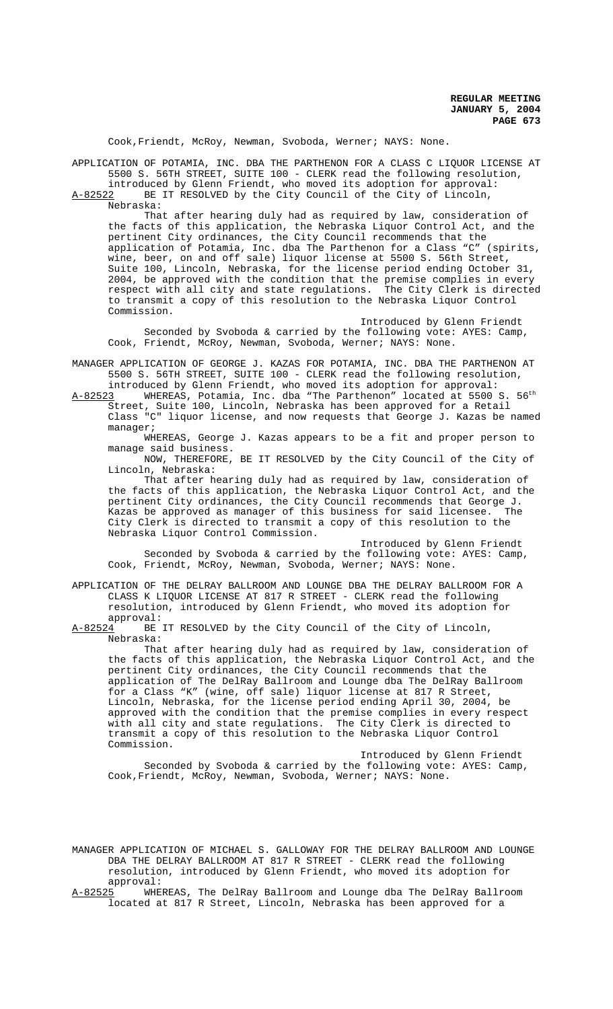Cook,Friendt, McRoy, Newman, Svoboda, Werner; NAYS: None.

APPLICATION OF POTAMIA, INC. DBA THE PARTHENON FOR A CLASS C LIQUOR LICENSE AT 5500 S. 56TH STREET, SUITE 100 - CLERK read the following resolution, introduced by Glenn Friendt, who moved its adoption for approval:

A-82522 BE IT RESOLVED by the City Council of the City of Lincoln, Nebraska:

That after hearing duly had as required by law, consideration of the facts of this application, the Nebraska Liquor Control Act, and the pertinent City ordinances, the City Council recommends that the application of Potamia, Inc. dba The Parthenon for a Class "C" (spirits, wine, beer, on and off sale) liquor license at 5500 S. 56th Street, Suite 100, Lincoln, Nebraska, for the license period ending October 31, 2004, be approved with the condition that the premise complies in every respect with all city and state regulations. The City Clerk is directed to transmit a copy of this resolution to the Nebraska Liquor Control Commission.

Introduced by Glenn Friendt Seconded by Svoboda & carried by the following vote: AYES: Camp, Cook, Friendt, McRoy, Newman, Svoboda, Werner; NAYS: None.

MANAGER APPLICATION OF GEORGE J. KAZAS FOR POTAMIA, INC. DBA THE PARTHENON AT 5500 S. 56TH STREET, SUITE 100 - CLERK read the following resolution, introduced by Glenn Friendt, who moved its adoption for approval:

 ${\tt A\text{-}82523}$  WHEREAS, Potamia, Inc. dba "The Parthenon" located at 5500 S. 56th Street, Suite 100, Lincoln, Nebraska has been approved for a Retail Class "C" liquor license, and now requests that George J. Kazas be named manager;

WHEREAS, George J. Kazas appears to be a fit and proper person to manage said business.

NOW, THEREFORE, BE IT RESOLVED by the City Council of the City of Lincoln, Nebraska:

That after hearing duly had as required by law, consideration of the facts of this application, the Nebraska Liquor Control Act, and the pertinent City ordinances, the City Council recommends that George J.<br>Kazas be approved as manager of this business for said licensee. The .<br>Kazas be approved as manager of this business for said licensee. City Clerk is directed to transmit a copy of this resolution to the Nebraska Liquor Control Commission.

Introduced by Glenn Friendt Seconded by Svoboda & carried by the following vote: AYES: Camp, Cook, Friendt, McRoy, Newman, Svoboda, Werner; NAYS: None.

APPLICATION OF THE DELRAY BALLROOM AND LOUNGE DBA THE DELRAY BALLROOM FOR A CLASS K LIQUOR LICENSE AT 817 R STREET - CLERK read the following resolution, introduced by Glenn Friendt, who moved its adoption for approval:<br>A-82524 BE

BE IT RESOLVED by the City Council of the City of Lincoln, Nebraska:

That after hearing duly had as required by law, consideration of the facts of this application, the Nebraska Liquor Control Act, and the pertinent City ordinances, the City Council recommends that the application of The DelRay Ballroom and Lounge dba The DelRay Ballroom for a Class "K" (wine, off sale) liquor license at 817 R Street, Lincoln, Nebraska, for the license period ending April 30, 2004, be approved with the condition that the premise complies in every respect with all city and state regulations. The City Clerk is directed to transmit a copy of this resolution to the Nebraska Liquor Control Commission.

Introduced by Glenn Friendt Seconded by Svoboda & carried by the following vote: AYES: Camp, Cook,Friendt, McRoy, Newman, Svoboda, Werner; NAYS: None.

MANAGER APPLICATION OF MICHAEL S. GALLOWAY FOR THE DELRAY BALLROOM AND LOUNGE DBA THE DELRAY BALLROOM AT 817 R STREET - CLERK read the following resolution, introduced by Glenn Friendt, who moved its adoption for approval:

A-82525 WHEREAS, The DelRay Ballroom and Lounge dba The DelRay Ballroom located at 817 R Street, Lincoln, Nebraska has been approved for a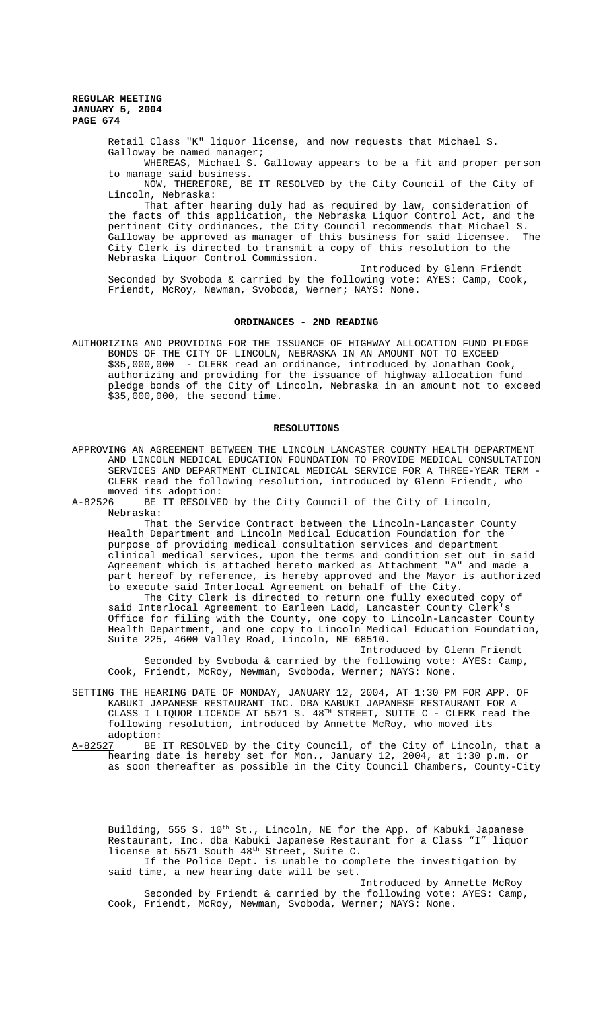**REGULAR MEETING JANUARY 5, 2004 PAGE 674**

> Retail Class "K" liquor license, and now requests that Michael S. Galloway be named manager;

WHEREAS, Michael S. Galloway appears to be a fit and proper person to manage said business.

NOW, THEREFORE, BE IT RESOLVED by the City Council of the City of Lincoln, Nebraska:

That after hearing duly had as required by law, consideration of the facts of this application, the Nebraska Liquor Control Act, and the pertinent City ordinances, the City Council recommends that Michael S.<br>Galloway be approved as manager of this business for said licensee. The Galloway be approved as manager of this business for said licensee. City Clerk is directed to transmit a copy of this resolution to the Nebraska Liquor Control Commission.

Introduced by Glenn Friendt Seconded by Svoboda & carried by the following vote: AYES: Camp, Cook, Friendt, McRoy, Newman, Svoboda, Werner; NAYS: None.

#### **ORDINANCES - 2ND READING**

AUTHORIZING AND PROVIDING FOR THE ISSUANCE OF HIGHWAY ALLOCATION FUND PLEDGE BONDS OF THE CITY OF LINCOLN, NEBRASKA IN AN AMOUNT NOT TO EXCEED \$35,000,000 - CLERK read an ordinance, introduced by Jonathan Cook, authorizing and providing for the issuance of highway allocation fund pledge bonds of the City of Lincoln, Nebraska in an amount not to exceed \$35,000,000, the second time.

### **RESOLUTIONS**

APPROVING AN AGREEMENT BETWEEN THE LINCOLN LANCASTER COUNTY HEALTH DEPARTMENT AND LINCOLN MEDICAL EDUCATION FOUNDATION TO PROVIDE MEDICAL CONSULTATION SERVICES AND DEPARTMENT CLINICAL MEDICAL SERVICE FOR A THREE-YEAR TERM - CLERK read the following resolution, introduced by Glenn Friendt, who moved its adoption:<br>A-82526 BE IT RESOLVE

BE IT RESOLVED by the City Council of the City of Lincoln, Nebraska:

That the Service Contract between the Lincoln-Lancaster County Health Department and Lincoln Medical Education Foundation for the purpose of providing medical consultation services and department clinical medical services, upon the terms and condition set out in said Agreement which is attached hereto marked as Attachment "A" and made a part hereof by reference, is hereby approved and the Mayor is authorized to execute said Interlocal Agreement on behalf of the City.

The City Clerk is directed to return one fully executed copy of said Interlocal Agreement to Earleen Ladd, Lancaster County Clerk's Office for filing with the County, one copy to Lincoln-Lancaster County Health Department, and one copy to Lincoln Medical Education Foundation, Suite 225, 4600 Valley Road, Lincoln, NE 68510.

Introduced by Glenn Friendt Seconded by Svoboda & carried by the following vote: AYES: Camp, Cook, Friendt, McRoy, Newman, Svoboda, Werner; NAYS: None.

- SETTING THE HEARING DATE OF MONDAY, JANUARY 12, 2004, AT 1:30 PM FOR APP. OF KABUKI JAPANESE RESTAURANT INC. DBA KABUKI JAPANESE RESTAURANT FOR A CLASS I LIQUOR LICENCE AT 5571 S. 48TH STREET, SUITE C - CLERK read the following resolution, introduced by Annette McRoy, who moved its adoption:
- A-82527 BE IT RESOLVED by the City Council, of the City of Lincoln, that a hearing date is hereby set for Mon., January 12, 2004, at 1:30 p.m. or as soon thereafter as possible in the City Council Chambers, County-City

Building, 555 S. 10<sup>th</sup> St., Lincoln, NE for the App. of Kabuki Japanese<br>Restaurant, Inc. dba Kabuki Japanese Restaurant for a Class "I" liguor Restaurant, Inc. dba Kabuki Japanese Restaurant for a Class "I" license at 5571 South 48th Street, Suite C.

If the Police Dept. is unable to complete the investigation by said time, a new hearing date will be set.

Introduced by Annette McRoy Seconded by Friendt & carried by the following vote: AYES: Camp, Cook, Friendt, McRoy, Newman, Svoboda, Werner; NAYS: None.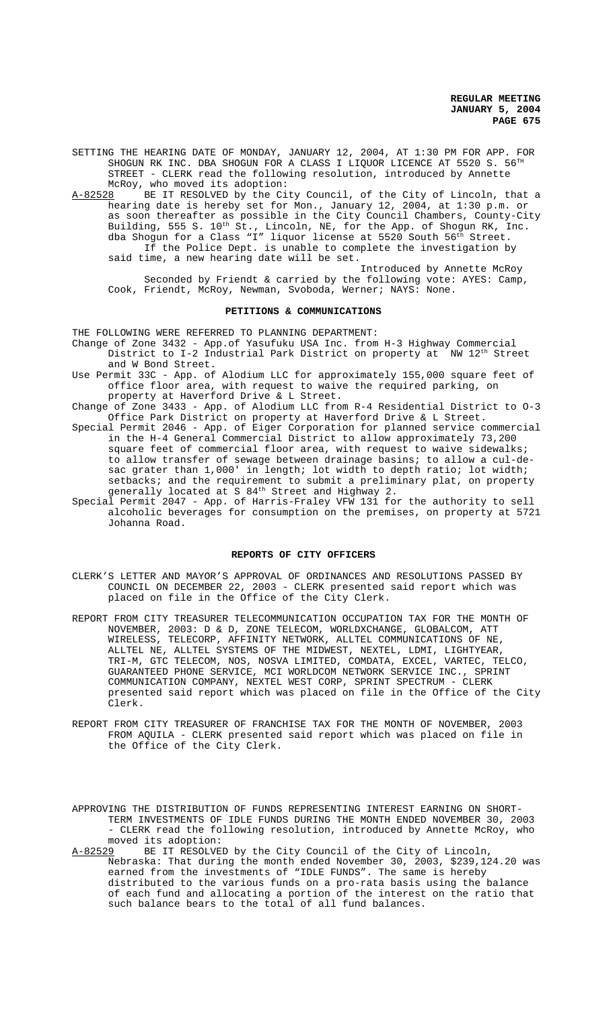**REGULAR MEETING JANUARY 5, 2004 PAGE 675**

SETTING THE HEARING DATE OF MONDAY, JANUARY 12, 2004, AT 1:30 PM FOR APP. FOR SHOGUN RK INC. DBA SHOGUN FOR A CLASS I LIQUOR LICENCE AT 5520 S. 56 $^{T}$ STREET - CLERK read the following resolution, introduced by Annette McRoy, who moved its adoption:

A-82528 BE IT RESOLVED by the City Council, of the City of Lincoln, that a hearing date is hereby set for Mon., January 12, 2004, at 1:30 p.m. or as soon thereafter as possible in the City Council Chambers, County-City Building, 555 S. 10<sup>th</sup> St., Lincoln, NE, for the App. of Shogun RK, Inc. dba Shogun for a Class "I" liquor license at 5520 South 56th Street. If the Police Dept. is unable to complete the investigation by said time, a new hearing date will be set.

Introduced by Annette McRoy Seconded by Friendt & carried by the following vote: AYES: Camp, Cook, Friendt, McRoy, Newman, Svoboda, Werner; NAYS: None.

#### **PETITIONS & COMMUNICATIONS**

THE FOLLOWING WERE REFERRED TO PLANNING DEPARTMENT:

Change of Zone 3432 - App.of Yasufuku USA Inc. from H-3 Highway Commercial District to I-2 Industrial Park District on property at NW 12<sup>th</sup> Street and W Bond Street.

Use Permit 33C - App. of Alodium LLC for approximately 155,000 square feet of office floor area, with request to waive the required parking, on property at Haverford Drive & L Street.

Change of Zone 3433 - App. of Alodium LLC from R-4 Residential District to O-3 Office Park District on property at Haverford Drive & L Street.

- Special Permit 2046 App. of Eiger Corporation for planned service commercial in the H-4 General Commercial District to allow approximately 73,200 square feet of commercial floor area, with request to waive sidewalks; to allow transfer of sewage between drainage basins; to allow a cul-desac grater than 1,000' in length; lot width to depth ratio; lot width; setbacks; and the requirement to submit a preliminary plat, on property generally located at S 84<sup>th</sup> Street and Highway 2.
- Special Permit 2047 App. of Harris-Fraley VFW 131 for the authority to sell alcoholic beverages for consumption on the premises, on property at 5721 Johanna Road.

#### **REPORTS OF CITY OFFICERS**

- CLERK'S LETTER AND MAYOR'S APPROVAL OF ORDINANCES AND RESOLUTIONS PASSED BY COUNCIL ON DECEMBER 22, 2003 - CLERK presented said report which was placed on file in the Office of the City Clerk.
- REPORT FROM CITY TREASURER TELECOMMUNICATION OCCUPATION TAX FOR THE MONTH OF NOVEMBER, 2003: D & D, ZONE TELECOM, WORLDXCHANGE, GLOBALCOM, ATT WIRELESS, TELECORP, AFFINITY NETWORK, ALLTEL COMMUNICATIONS OF NE, ALLTEL NE, ALLTEL SYSTEMS OF THE MIDWEST, NEXTEL, LDMI, LIGHTYEAR, TRI-M, GTC TELECOM, NOS, NOSVA LIMITED, COMDATA, EXCEL, VARTEC, TELCO, GUARANTEED PHONE SERVICE, MCI WORLDCOM NETWORK SERVICE INC., SPRINT COMMUNICATION COMPANY, NEXTEL WEST CORP, SPRINT SPECTRUM - CLERK presented said report which was placed on file in the Office of the City Clerk.
- REPORT FROM CITY TREASURER OF FRANCHISE TAX FOR THE MONTH OF NOVEMBER, 2003 FROM AQUILA - CLERK presented said report which was placed on file in the Office of the City Clerk.

APPROVING THE DISTRIBUTION OF FUNDS REPRESENTING INTEREST EARNING ON SHORT-TERM INVESTMENTS OF IDLE FUNDS DURING THE MONTH ENDED NOVEMBER 30, 2003 - CLERK read the following resolution, introduced by Annette McRoy, who moved its adoption:<br>A-82529 BE IT RESOLVE

BE IT RESOLVED by the City Council of the City of Lincoln, Nebraska: That during the month ended November 30, 2003, \$239,124.20 was earned from the investments of "IDLE FUNDS". The same is hereby distributed to the various funds on a pro-rata basis using the balance of each fund and allocating a portion of the interest on the ratio that such balance bears to the total of all fund balances.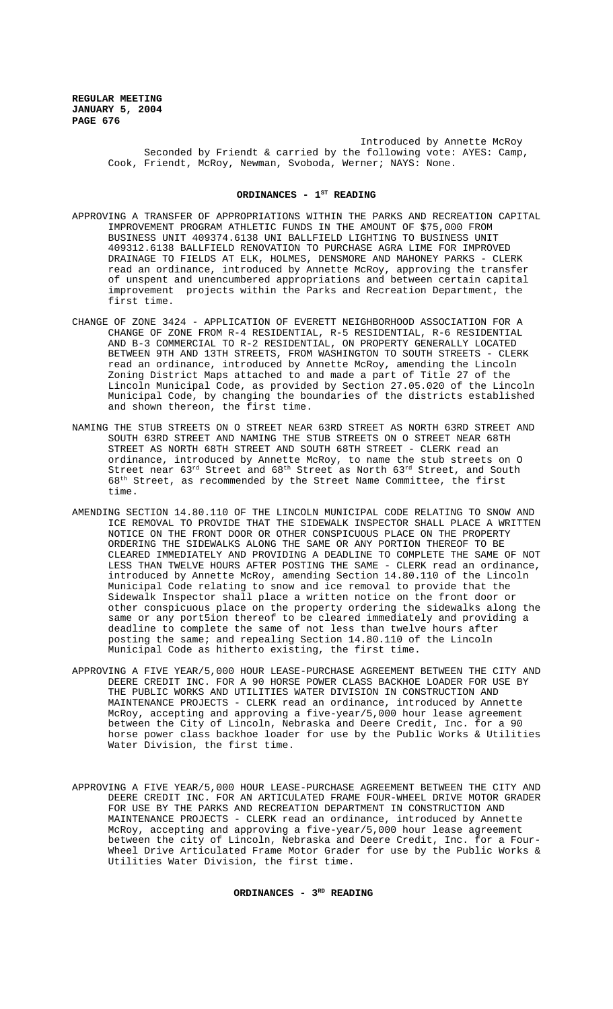Introduced by Annette McRoy Seconded by Friendt & carried by the following vote: AYES: Camp, Cook, Friendt, McRoy, Newman, Svoboda, Werner; NAYS: None.

### ORDINANCES - 1<sup>ST</sup> READING

- APPROVING A TRANSFER OF APPROPRIATIONS WITHIN THE PARKS AND RECREATION CAPITAL IMPROVEMENT PROGRAM ATHLETIC FUNDS IN THE AMOUNT OF \$75,000 FROM BUSINESS UNIT 409374.6138 UNI BALLFIELD LIGHTING TO BUSINESS UNIT 409312.6138 BALLFIELD RENOVATION TO PURCHASE AGRA LIME FOR IMPROVED DRAINAGE TO FIELDS AT ELK, HOLMES, DENSMORE AND MAHONEY PARKS - CLERK read an ordinance, introduced by Annette McRoy, approving the transfer of unspent and unencumbered appropriations and between certain capital improvement projects within the Parks and Recreation Department, the first time.
- CHANGE OF ZONE 3424 APPLICATION OF EVERETT NEIGHBORHOOD ASSOCIATION FOR A CHANGE OF ZONE FROM R-4 RESIDENTIAL, R-5 RESIDENTIAL, R-6 RESIDENTIAL AND B-3 COMMERCIAL TO R-2 RESIDENTIAL, ON PROPERTY GENERALLY LOCATED BETWEEN 9TH AND 13TH STREETS, FROM WASHINGTON TO SOUTH STREETS - CLERK read an ordinance, introduced by Annette McRoy, amending the Lincoln Zoning District Maps attached to and made a part of Title 27 of the Lincoln Municipal Code, as provided by Section 27.05.020 of the Lincoln Municipal Code, by changing the boundaries of the districts established and shown thereon, the first time.
- NAMING THE STUB STREETS ON O STREET NEAR 63RD STREET AS NORTH 63RD STREET AND SOUTH 63RD STREET AND NAMING THE STUB STREETS ON O STREET NEAR 68TH STREET AS NORTH 68TH STREET AND SOUTH 68TH STREET - CLERK read an ordinance, introduced by Annette McRoy, to name the stub streets on O Street near  $63^{rd}$  Street and  $68^{th}$  Street as North  $63^{rd}$  Street, and South 68th Street, as recommended by the Street Name Committee, the first time.
- AMENDING SECTION 14.80.110 OF THE LINCOLN MUNICIPAL CODE RELATING TO SNOW AND ICE REMOVAL TO PROVIDE THAT THE SIDEWALK INSPECTOR SHALL PLACE A WRITTEN NOTICE ON THE FRONT DOOR OR OTHER CONSPICUOUS PLACE ON THE PROPERTY ORDERING THE SIDEWALKS ALONG THE SAME OR ANY PORTION THEREOF TO BE CLEARED IMMEDIATELY AND PROVIDING A DEADLINE TO COMPLETE THE SAME OF NOT LESS THAN TWELVE HOURS AFTER POSTING THE SAME - CLERK read an ordinance, introduced by Annette McRoy, amending Section 14.80.110 of the Lincoln Municipal Code relating to snow and ice removal to provide that the Sidewalk Inspector shall place a written notice on the front door or other conspicuous place on the property ordering the sidewalks along the same or any port5ion thereof to be cleared immediately and providing a deadline to complete the same of not less than twelve hours after posting the same; and repealing Section 14.80.110 of the Lincoln Municipal Code as hitherto existing, the first time.
- APPROVING A FIVE YEAR/5,000 HOUR LEASE-PURCHASE AGREEMENT BETWEEN THE CITY AND DEERE CREDIT INC. FOR A 90 HORSE POWER CLASS BACKHOE LOADER FOR USE BY THE PUBLIC WORKS AND UTILITIES WATER DIVISION IN CONSTRUCTION AND MAINTENANCE PROJECTS - CLERK read an ordinance, introduced by Annette McRoy, accepting and approving a five-year/5,000 hour lease agreement between the City of Lincoln, Nebraska and Deere Credit, Inc. for a 90 horse power class backhoe loader for use by the Public Works & Utilities Water Division, the first time.
- APPROVING A FIVE YEAR/5,000 HOUR LEASE-PURCHASE AGREEMENT BETWEEN THE CITY AND DEERE CREDIT INC. FOR AN ARTICULATED FRAME FOUR-WHEEL DRIVE MOTOR GRADER FOR USE BY THE PARKS AND RECREATION DEPARTMENT IN CONSTRUCTION AND MAINTENANCE PROJECTS - CLERK read an ordinance, introduced by Annette McRoy, accepting and approving a five-year/5,000 hour lease agreement between the city of Lincoln, Nebraska and Deere Credit, Inc. for a Four-Wheel Drive Articulated Frame Motor Grader for use by the Public Works & Utilities Water Division, the first time.

**ORDINANCES - 3RD READING**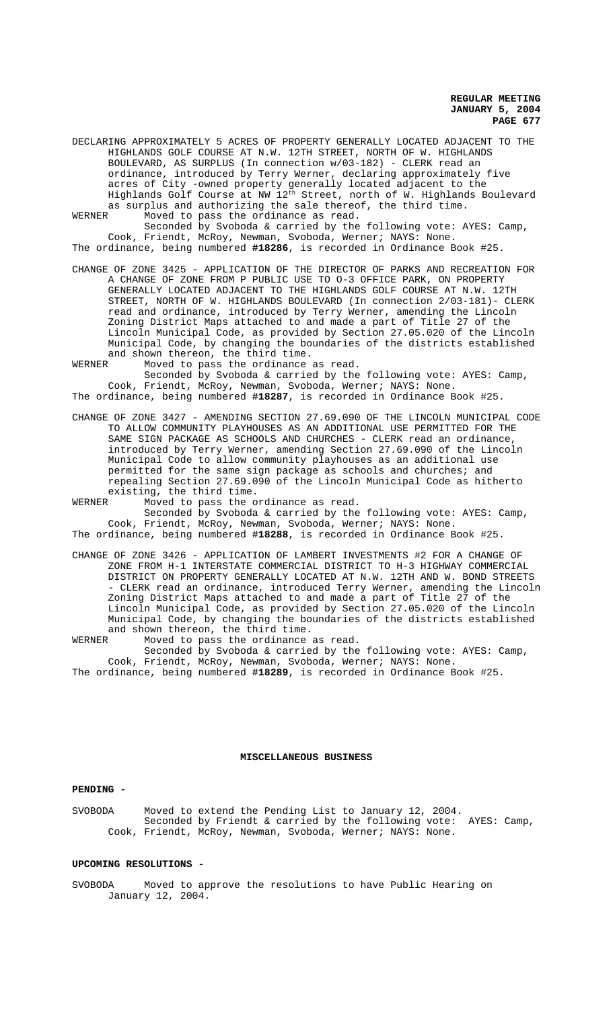**REGULAR MEETING JANUARY 5, 2004 PAGE 677**

DECLARING APPROXIMATELY 5 ACRES OF PROPERTY GENERALLY LOCATED ADJACENT TO THE HIGHLANDS GOLF COURSE AT N.W. 12TH STREET, NORTH OF W. HIGHLANDS BOULEVARD, AS SURPLUS (In connection w/03-182) - CLERK read an ordinance, introduced by Terry Werner, declaring approximately five acres of City -owned property generally located adjacent to the Highlands Golf Course at NW  $12^{\rm th}$  Street, north of W. Highlands Boulevard as surplus and authorizing the sale thereof, the third time.<br>WERNER Moved to pass the ordinance as read. Moved to pass the ordinance as read.

Seconded by Svoboda & carried by the following vote: AYES: Camp, Cook, Friendt, McRoy, Newman, Svoboda, Werner; NAYS: None. The ordinance, being numbered **#18286**, is recorded in Ordinance Book #25.

CHANGE OF ZONE 3425 - APPLICATION OF THE DIRECTOR OF PARKS AND RECREATION FOR A CHANGE OF ZONE FROM P PUBLIC USE TO O-3 OFFICE PARK, ON PROPERTY GENERALLY LOCATED ADJACENT TO THE HIGHLANDS GOLF COURSE AT N.W. 12TH STREET, NORTH OF W. HIGHLANDS BOULEVARD (In connection 2/03-181)- CLERK read and ordinance, introduced by Terry Werner, amending the Lincoln Zoning District Maps attached to and made a part of Title 27 of the Lincoln Municipal Code, as provided by Section 27.05.020 of the Lincoln Municipal Code, by changing the boundaries of the districts established and shown thereon, the third time.

WERNER Moved to pass the ordinance as read.

Seconded by Svoboda & carried by the following vote: AYES: Camp, Cook, Friendt, McRoy, Newman, Svoboda, Werner; NAYS: None. The ordinance, being numbered **#18287**, is recorded in Ordinance Book #25.

CHANGE OF ZONE 3427 - AMENDING SECTION 27.69.090 OF THE LINCOLN MUNICIPAL CODE TO ALLOW COMMUNITY PLAYHOUSES AS AN ADDITIONAL USE PERMITTED FOR THE SAME SIGN PACKAGE AS SCHOOLS AND CHURCHES - CLERK read an ordinance, introduced by Terry Werner, amending Section 27.69.090 of the Lincoln Municipal Code to allow community playhouses as an additional use permitted for the same sign package as schools and churches; and repealing Section 27.69.090 of the Lincoln Municipal Code as hitherto existing, the third time.<br>WERNER Moved to pass the o

Moved to pass the ordinance as read. Seconded by Svoboda & carried by the following vote: AYES: Camp,

Cook, Friendt, McRoy, Newman, Svoboda, Werner; NAYS: None. The ordinance, being numbered **#18288**, is recorded in Ordinance Book #25.

CHANGE OF ZONE 3426 - APPLICATION OF LAMBERT INVESTMENTS #2 FOR A CHANGE OF ZONE FROM H-1 INTERSTATE COMMERCIAL DISTRICT TO H-3 HIGHWAY COMMERCIAL DISTRICT ON PROPERTY GENERALLY LOCATED AT N.W. 12TH AND W. BOND STREETS - CLERK read an ordinance, introduced Terry Werner, amending the Lincoln Zoning District Maps attached to and made a part of Title 27 of the Lincoln Municipal Code, as provided by Section 27.05.020 of the Lincoln Municipal Code, by changing the boundaries of the districts established and shown thereon, the third time.

WERNER Moved to pass the ordinance as read. Seconded by Svoboda & carried by the following vote: AYES: Camp, Cook, Friendt, McRoy, Newman, Svoboda, Werner; NAYS: None. The ordinance, being numbered **#18289**, is recorded in Ordinance Book #25.

# **MISCELLANEOUS BUSINESS**

#### **PENDING -**

SVOBODA Moved to extend the Pending List to January 12, 2004. Seconded by Friendt & carried by the following vote: AYES: Camp, Cook, Friendt, McRoy, Newman, Svoboda, Werner; NAYS: None.

# **UPCOMING RESOLUTIONS -**

SVOBODA Moved to approve the resolutions to have Public Hearing on January 12, 2004.